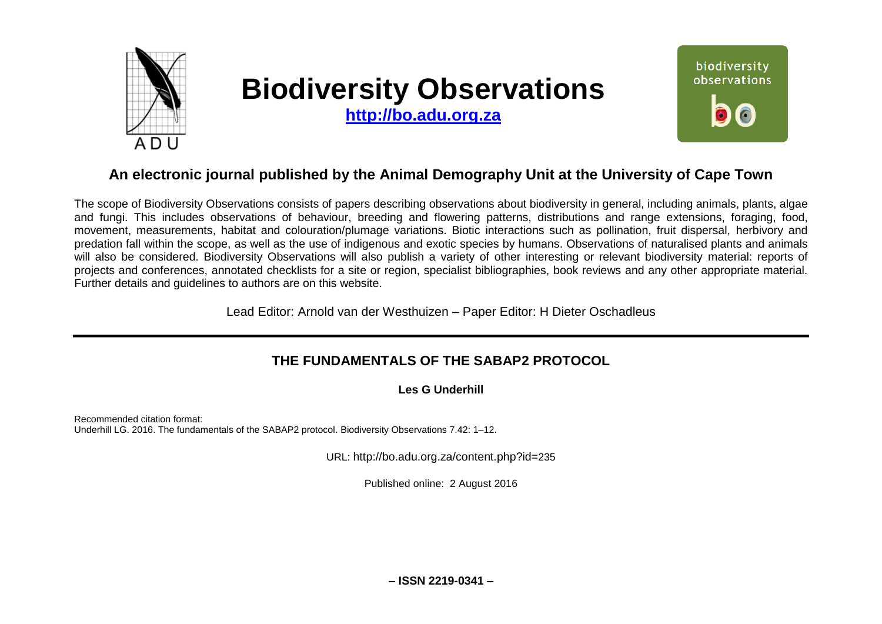

# **Biodiversity Observations**

**[http://bo.adu.org.za](http://bo.adu.org.za/)**



# **An electronic journal published by the Animal Demography Unit at the University of Cape Town**

The scope of Biodiversity Observations consists of papers describing observations about biodiversity in general, including animals, plants, algae and fungi. This includes observations of behaviour, breeding and flowering patterns, distributions and range extensions, foraging, food, movement, measurements, habitat and colouration/plumage variations. Biotic interactions such as pollination, fruit dispersal, herbivory and predation fall within the scope, as well as the use of indigenous and exotic species by humans. Observations of naturalised plants and animals will also be considered. Biodiversity Observations will also publish a variety of other interesting or relevant biodiversity material: reports of projects and conferences, annotated checklists for a site or region, specialist bibliographies, book reviews and any other appropriate material. Further details and guidelines to authors are on this website.

Lead Editor: Arnold van der Westhuizen – Paper Editor: H Dieter Oschadleus

## **THE FUNDAMENTALS OF THE SABAP2 PROTOCOL**

**Les G Underhill**

Recommended citation format: Underhill LG. 2016. The fundamentals of the SABAP2 protocol. Biodiversity Observations 7.42: 1–12.

URL: http://bo.adu.org.za/content.php?id=235

Published online: 2 August 2016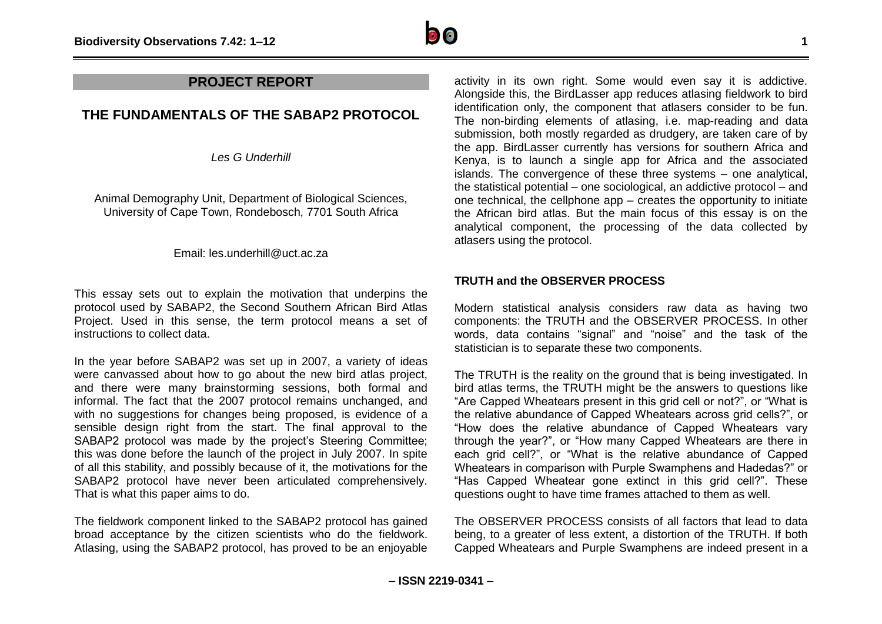

### **PROJECT REPORT**

## **THE FUNDAMENTALS OF THE SABAP2 PROTOCOL**

*Les G Underhill*

Animal Demography Unit, Department of Biological Sciences, University of Cape Town, Rondebosch, 7701 South Africa

#### Email: les.underhill@uct.ac.za

This essay sets out to explain the motivation that underpins the protocol used by SABAP2, the Second Southern African Bird Atlas Project. Used in this sense, the term protocol means a set of instructions to collect data.

In the year before SABAP2 was set up in 2007, a variety of ideas were canvassed about how to go about the new bird atlas project, and there were many brainstorming sessions, both formal and informal. The fact that the 2007 protocol remains unchanged, and with no suggestions for changes being proposed, is evidence of a sensible design right from the start. The final approval to the SABAP2 protocol was made by the project's Steering Committee; this was done before the launch of the project in July 2007. In spite of all this stability, and possibly because of it, the motivations for the SABAP2 protocol have never been articulated comprehensively. That is what this paper aims to do.

The fieldwork component linked to the SABAP2 protocol has gained broad acceptance by the citizen scientists who do the fieldwork. Atlasing, using the SABAP2 protocol, has proved to be an enjoyable

activity in its own right. Some would even say it is addictive. Alongside this, the BirdLasser app reduces atlasing fieldwork to bird identification only, the component that atlasers consider to be fun. The non-birding elements of atlasing, i.e. map-reading and data submission, both mostly regarded as drudgery, are taken care of by the app. BirdLasser currently has versions for southern Africa and Kenya, is to launch a single app for Africa and the associated islands. The convergence of these three systems – one analytical, the statistical potential – one sociological, an addictive protocol – and one technical, the cellphone app – creates the opportunity to initiate the African bird atlas. But the main focus of this essay is on the analytical component, the processing of the data collected by atlasers using the protocol.

#### **TRUTH and the OBSERVER PROCESS**

Modern statistical analysis considers raw data as having two components: the TRUTH and the OBSERVER PROCESS. In other words, data contains "signal" and "noise" and the task of the statistician is to separate these two components.

The TRUTH is the reality on the ground that is being investigated. In bird atlas terms, the TRUTH might be the answers to questions like "Are Capped Wheatears present in this grid cell or not?", or "What is the relative abundance of Capped Wheatears across grid cells?", or "How does the relative abundance of Capped Wheatears vary through the year?", or "How many Capped Wheatears are there in each grid cell?", or "What is the relative abundance of Capped Wheatears in comparison with Purple Swamphens and Hadedas?" or "Has Capped Wheatear gone extinct in this grid cell?". These questions ought to have time frames attached to them as well.

The OBSERVER PROCESS consists of all factors that lead to data being, to a greater of less extent, a distortion of the TRUTH. If both Capped Wheatears and Purple Swamphens are indeed present in a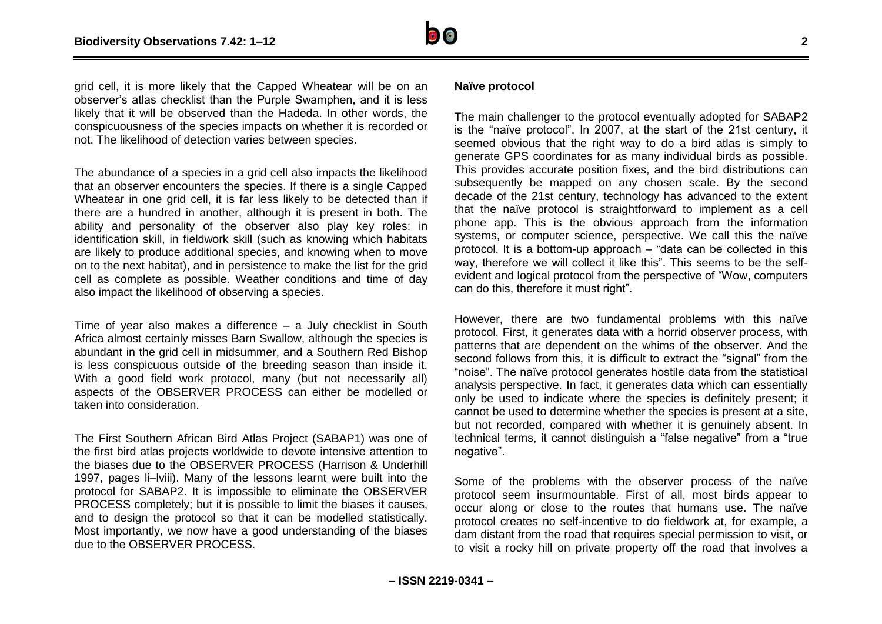

grid cell, it is more likely that the Capped Wheatear will be on an observer's atlas checklist than the Purple Swamphen, and it is less likely that it will be observed than the Hadeda. In other words, the conspicuousness of the species impacts on whether it is recorded or not. The likelihood of detection varies between species.

The abundance of a species in a grid cell also impacts the likelihood that an observer encounters the species. If there is a single Capped Wheatear in one grid cell, it is far less likely to be detected than if there are a hundred in another, although it is present in both. The ability and personality of the observer also play key roles: in identification skill, in fieldwork skill (such as knowing which habitats are likely to produce additional species, and knowing when to move on to the next habitat), and in persistence to make the list for the grid cell as complete as possible. Weather conditions and time of day also impact the likelihood of observing a species.

Time of year also makes a difference – a July checklist in South Africa almost certainly misses Barn Swallow, although the species is abundant in the grid cell in midsummer, and a Southern Red Bishop is less conspicuous outside of the breeding season than inside it. With a good field work protocol, many (but not necessarily all) aspects of the OBSERVER PROCESS can either be modelled or taken into consideration.

The First Southern African Bird Atlas Project (SABAP1) was one of the first bird atlas projects worldwide to devote intensive attention to the biases due to the OBSERVER PROCESS (Harrison & Underhill 1997, pages li–lviii). Many of the lessons learnt were built into the protocol for SABAP2. It is impossible to eliminate the OBSERVER PROCESS completely; but it is possible to limit the biases it causes, and to design the protocol so that it can be modelled statistically. Most importantly, we now have a good understanding of the biases due to the OBSERVER PROCESS.

#### **Naïve protocol**

The main challenger to the protocol eventually adopted for SABAP2 is the "naïve protocol". In 2007, at the start of the 21st century, it seemed obvious that the right way to do a bird atlas is simply to generate GPS coordinates for as many individual birds as possible. This provides accurate position fixes, and the bird distributions can subsequently be mapped on any chosen scale. By the second decade of the 21st century, technology has advanced to the extent that the naïve protocol is straightforward to implement as a cell phone app. This is the obvious approach from the information systems, or computer science, perspective. We call this the naïve protocol. It is a bottom-up approach – "data can be collected in this way, therefore we will collect it like this". This seems to be the selfevident and logical protocol from the perspective of "Wow, computers can do this, therefore it must right".

However, there are two fundamental problems with this naïve protocol. First, it generates data with a horrid observer process, with patterns that are dependent on the whims of the observer. And the second follows from this, it is difficult to extract the "signal" from the "noise". The naïve protocol generates hostile data from the statistical analysis perspective. In fact, it generates data which can essentially only be used to indicate where the species is definitely present; it cannot be used to determine whether the species is present at a site, but not recorded, compared with whether it is genuinely absent. In technical terms, it cannot distinguish a "false negative" from a "true negative".

Some of the problems with the observer process of the naïve protocol seem insurmountable. First of all, most birds appear to occur along or close to the routes that humans use. The naïve protocol creates no self-incentive to do fieldwork at, for example, a dam distant from the road that requires special permission to visit, or to visit a rocky hill on private property off the road that involves a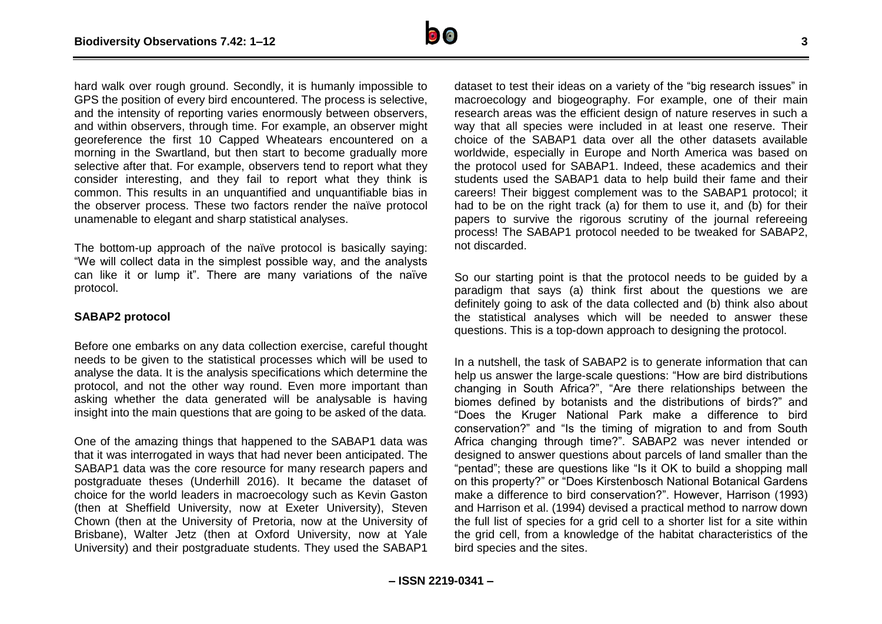

hard walk over rough ground. Secondly, it is humanly impossible to GPS the position of every bird encountered. The process is selective, and the intensity of reporting varies enormously between observers, and within observers, through time. For example, an observer might georeference the first 10 Capped Wheatears encountered on a morning in the Swartland, but then start to become gradually more selective after that. For example, observers tend to report what they consider interesting, and they fail to report what they think is common. This results in an unquantified and unquantifiable bias in the observer process. These two factors render the naïve protocol unamenable to elegant and sharp statistical analyses.

The bottom-up approach of the naïve protocol is basically saying: "We will collect data in the simplest possible way, and the analysts can like it or lump it". There are many variations of the naïve protocol.

#### **SABAP2 protocol**

Before one embarks on any data collection exercise, careful thought needs to be given to the statistical processes which will be used to analyse the data. It is the analysis specifications which determine the protocol, and not the other way round. Even more important than asking whether the data generated will be analysable is having insight into the main questions that are going to be asked of the data.

One of the amazing things that happened to the SABAP1 data was that it was interrogated in ways that had never been anticipated. The SABAP1 data was the core resource for many research papers and postgraduate theses (Underhill 2016). It became the dataset of choice for the world leaders in macroecology such as Kevin Gaston (then at Sheffield University, now at Exeter University), Steven Chown (then at the University of Pretoria, now at the University of Brisbane), Walter Jetz (then at Oxford University, now at Yale University) and their postgraduate students. They used the SABAP1

dataset to test their ideas on a variety of the "big research issues" in macroecology and biogeography. For example, one of their main research areas was the efficient design of nature reserves in such a way that all species were included in at least one reserve. Their choice of the SABAP1 data over all the other datasets available worldwide, especially in Europe and North America was based on the protocol used for SABAP1. Indeed, these academics and their students used the SABAP1 data to help build their fame and their careers! Their biggest complement was to the SABAP1 protocol; it had to be on the right track (a) for them to use it, and (b) for their papers to survive the rigorous scrutiny of the journal refereeing process! The SABAP1 protocol needed to be tweaked for SABAP2, not discarded.

So our starting point is that the protocol needs to be guided by a paradigm that says (a) think first about the questions we are definitely going to ask of the data collected and (b) think also about the statistical analyses which will be needed to answer these questions. This is a top-down approach to designing the protocol.

In a nutshell, the task of SABAP2 is to generate information that can help us answer the large-scale questions: "How are bird distributions changing in South Africa?", "Are there relationships between the biomes defined by botanists and the distributions of birds?" and "Does the Kruger National Park make a difference to bird conservation?" and "Is the timing of migration to and from South Africa changing through time?". SABAP2 was never intended or designed to answer questions about parcels of land smaller than the "pentad"; these are questions like "Is it OK to build a shopping mall on this property?" or "Does Kirstenbosch National Botanical Gardens make a difference to bird conservation?". However, Harrison (1993) and Harrison et al. (1994) devised a practical method to narrow down the full list of species for a grid cell to a shorter list for a site within the grid cell, from a knowledge of the habitat characteristics of the bird species and the sites.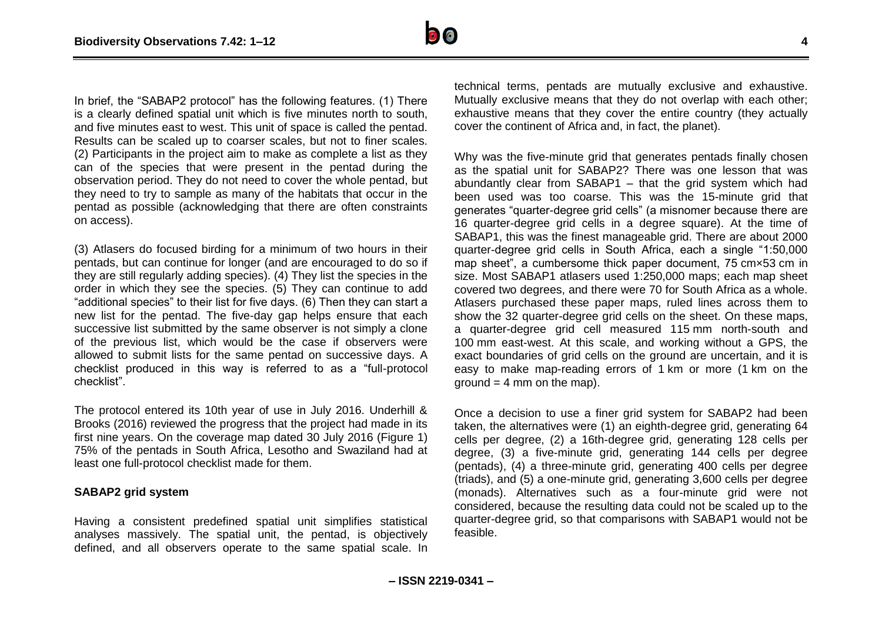

In brief, the "SABAP2 protocol" has the following features. (1) There is a clearly defined spatial unit which is five minutes north to south, and five minutes east to west. This unit of space is called the pentad. Results can be scaled up to coarser scales, but not to finer scales. (2) Participants in the project aim to make as complete a list as they can of the species that were present in the pentad during the observation period. They do not need to cover the whole pentad, but they need to try to sample as many of the habitats that occur in the pentad as possible (acknowledging that there are often constraints on access).

(3) Atlasers do focused birding for a minimum of two hours in their pentads, but can continue for longer (and are encouraged to do so if they are still regularly adding species). (4) They list the species in the order in which they see the species. (5) They can continue to add "additional species" to their list for five days. (6) Then they can start a new list for the pentad. The five-day gap helps ensure that each successive list submitted by the same observer is not simply a clone of the previous list, which would be the case if observers were allowed to submit lists for the same pentad on successive days. A checklist produced in this way is referred to as a "full-protocol checklist".

The protocol entered its 10th year of use in July 2016. Underhill & Brooks (2016) reviewed the progress that the project had made in its first nine years. On the coverage map dated 30 July 2016 (Figure 1) 75% of the pentads in South Africa, Lesotho and Swaziland had at least one full-protocol checklist made for them.

#### **SABAP2 grid system**

Having a consistent predefined spatial unit simplifies statistical analyses massively. The spatial unit, the pentad, is objectively defined, and all observers operate to the same spatial scale. In technical terms, pentads are mutually exclusive and exhaustive. Mutually exclusive means that they do not overlap with each other; exhaustive means that they cover the entire country (they actually cover the continent of Africa and, in fact, the planet).

Why was the five-minute grid that generates pentads finally chosen as the spatial unit for SABAP2? There was one lesson that was abundantly clear from SABAP1 – that the grid system which had been used was too coarse. This was the 15-minute grid that generates "quarter-degree grid cells" (a misnomer because there are 16 quarter-degree grid cells in a degree square). At the time of SABAP1, this was the finest manageable grid. There are about 2000 quarter-degree grid cells in South Africa, each a single "1:50,000 map sheet", a cumbersome thick paper document, 75 cm×53 cm in size. Most SABAP1 atlasers used 1:250,000 maps; each map sheet covered two degrees, and there were 70 for South Africa as a whole. Atlasers purchased these paper maps, ruled lines across them to show the 32 quarter-degree grid cells on the sheet. On these maps, a quarter-degree grid cell measured 115 mm north-south and 100 mm east-west. At this scale, and working without a GPS, the exact boundaries of grid cells on the ground are uncertain, and it is easy to make map-reading errors of 1 km or more (1 km on the  $ground = 4 mm on the map.$ 

Once a decision to use a finer grid system for SABAP2 had been taken, the alternatives were (1) an eighth-degree grid, generating 64 cells per degree, (2) a 16th-degree grid, generating 128 cells per degree, (3) a five-minute grid, generating 144 cells per degree (pentads), (4) a three-minute grid, generating 400 cells per degree (triads), and (5) a one-minute grid, generating 3,600 cells per degree (monads). Alternatives such as a four-minute grid were not considered, because the resulting data could not be scaled up to the quarter-degree grid, so that comparisons with SABAP1 would not be feasible.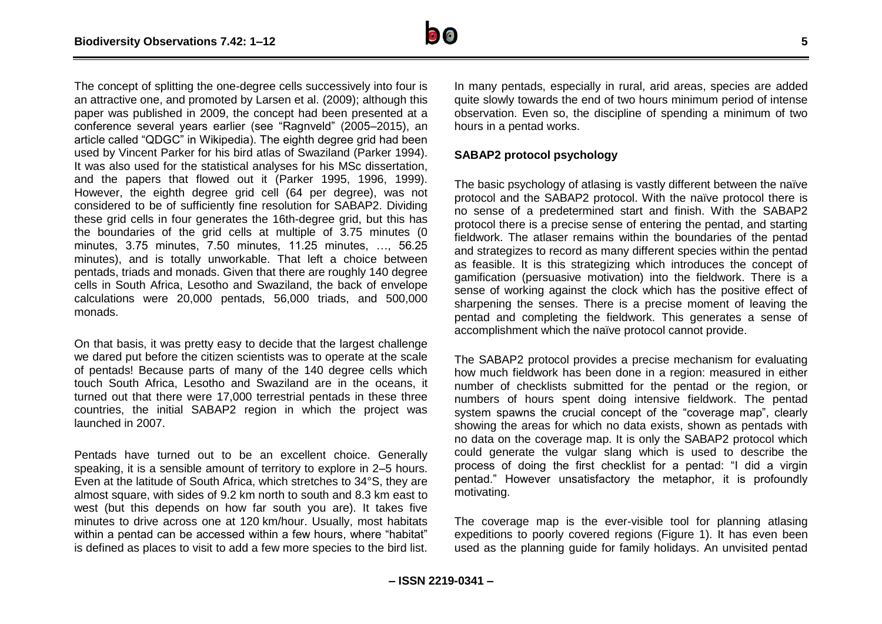

The concept of splitting the one-degree cells successively into four is an attractive one, and promoted by Larsen et al. (2009); although this paper was published in 2009, the concept had been presented at a conference several years earlier (see "Ragnveld" (2005–2015), an article called "QDGC" in Wikipedia). The eighth degree grid had been used by Vincent Parker for his bird atlas of Swaziland (Parker 1994). It was also used for the statistical analyses for his MSc dissertation, and the papers that flowed out it (Parker 1995, 1996, 1999). However, the eighth degree grid cell (64 per degree), was not considered to be of sufficiently fine resolution for SABAP2. Dividing these grid cells in four generates the 16th-degree grid, but this has the boundaries of the grid cells at multiple of 3.75 minutes (0 minutes, 3.75 minutes, 7.50 minutes, 11.25 minutes, …, 56.25 minutes), and is totally unworkable. That left a choice between pentads, triads and monads. Given that there are roughly 140 degree cells in South Africa, Lesotho and Swaziland, the back of envelope calculations were 20,000 pentads, 56,000 triads, and 500,000 monads.

On that basis, it was pretty easy to decide that the largest challenge we dared put before the citizen scientists was to operate at the scale of pentads! Because parts of many of the 140 degree cells which touch South Africa, Lesotho and Swaziland are in the oceans, it turned out that there were 17,000 terrestrial pentads in these three countries, the initial SABAP2 region in which the project was launched in 2007.

Pentads have turned out to be an excellent choice. Generally speaking, it is a sensible amount of territory to explore in 2–5 hours. Even at the latitude of South Africa, which stretches to 34°S, they are almost square, with sides of 9.2 km north to south and 8.3 km east to west (but this depends on how far south you are). It takes five minutes to drive across one at 120 km/hour. Usually, most habitats within a pentad can be accessed within a few hours, where "habitat" is defined as places to visit to add a few more species to the bird list.

In many pentads, especially in rural, arid areas, species are added quite slowly towards the end of two hours minimum period of intense observation. Even so, the discipline of spending a minimum of two hours in a pentad works.

#### **SABAP2 protocol psychology**

The basic psychology of atlasing is vastly different between the naïve protocol and the SABAP2 protocol. With the naïve protocol there is no sense of a predetermined start and finish. With the SABAP2 protocol there is a precise sense of entering the pentad, and starting fieldwork. The atlaser remains within the boundaries of the pentad and strategizes to record as many different species within the pentad as feasible. It is this strategizing which introduces the concept of gamification (persuasive motivation) into the fieldwork. There is a sense of working against the clock which has the positive effect of sharpening the senses. There is a precise moment of leaving the pentad and completing the fieldwork. This generates a sense of accomplishment which the naïve protocol cannot provide.

The SABAP2 protocol provides a precise mechanism for evaluating how much fieldwork has been done in a region: measured in either number of checklists submitted for the pentad or the region, or numbers of hours spent doing intensive fieldwork. The pentad system spawns the crucial concept of the "coverage map", clearly showing the areas for which no data exists, shown as pentads with no data on the coverage map. It is only the SABAP2 protocol which could generate the vulgar slang which is used to describe the process of doing the first checklist for a pentad: "I did a virgin pentad." However unsatisfactory the metaphor, it is profoundly motivating.

The coverage map is the ever-visible tool for planning atlasing expeditions to poorly covered regions (Figure 1). It has even been used as the planning guide for family holidays. An unvisited pentad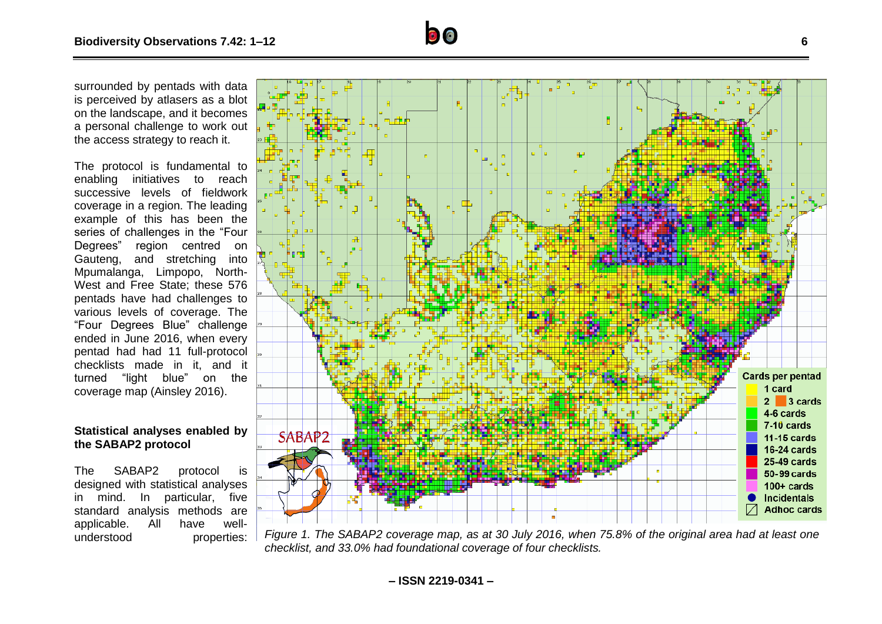surrounded by pentads with data is perceived by atlasers as a blot on the landscape, and it becomes a personal challenge to work out the access strategy to reach it.

The protocol is fundamental to enabling initiatives to reach successive levels of fieldwork coverage in a region. The leading example of this has been the series of challenges in the "Four Degrees" region centred on Gauteng, and stretching into Mpumalanga, Limpopo, North-West and Free State; these 576 pentads have had challenges to various levels of coverage. The "Four Degrees Blue" challenge ended in June 2016, when every pentad had had 11 full-protocol checklists made in it, and it turned "light blue" on the coverage map (Ainsley 2016).

#### **Statistical analyses enabled by the SABAP2 protocol**

The SABAP2 protocol is designed with statistical analyses in mind. In particular, five standard analysis methods are applicable. All have well-



understood properties: *Figure 1. The SABAP2 coverage map, as at 30 July 2016, when 75.8% of the original area had at least one checklist, and 33.0% had foundational coverage of four checklists.*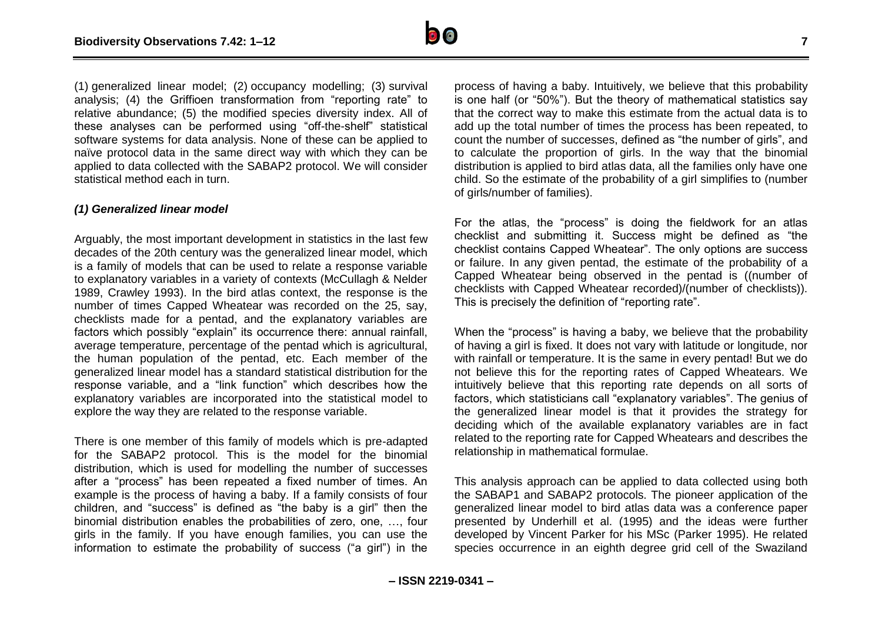

(1) generalized linear model; (2) occupancy modelling; (3) survival analysis; (4) the Griffioen transformation from "reporting rate" to relative abundance; (5) the modified species diversity index. All of these analyses can be performed using "off-the-shelf" statistical software systems for data analysis. None of these can be applied to naïve protocol data in the same direct way with which they can be applied to data collected with the SABAP2 protocol. We will consider statistical method each in turn.

#### *(1) Generalized linear model*

Arguably, the most important development in statistics in the last few decades of the 20th century was the generalized linear model, which is a family of models that can be used to relate a response variable to explanatory variables in a variety of contexts (McCullagh & Nelder 1989, Crawley 1993). In the bird atlas context, the response is the number of times Capped Wheatear was recorded on the 25, say, checklists made for a pentad, and the explanatory variables are factors which possibly "explain" its occurrence there: annual rainfall, average temperature, percentage of the pentad which is agricultural, the human population of the pentad, etc. Each member of the generalized linear model has a standard statistical distribution for the response variable, and a "link function" which describes how the explanatory variables are incorporated into the statistical model to explore the way they are related to the response variable.

There is one member of this family of models which is pre-adapted for the SABAP2 protocol. This is the model for the binomial distribution, which is used for modelling the number of successes after a "process" has been repeated a fixed number of times. An example is the process of having a baby. If a family consists of four children, and "success" is defined as "the baby is a girl" then the binomial distribution enables the probabilities of zero, one, …, four girls in the family. If you have enough families, you can use the information to estimate the probability of success ("a girl") in the

process of having a baby. Intuitively, we believe that this probability is one half (or "50%"). But the theory of mathematical statistics say that the correct way to make this estimate from the actual data is to add up the total number of times the process has been repeated, to count the number of successes, defined as "the number of girls", and to calculate the proportion of girls. In the way that the binomial distribution is applied to bird atlas data, all the families only have one child. So the estimate of the probability of a girl simplifies to (number of girls/number of families).

For the atlas, the "process" is doing the fieldwork for an atlas checklist and submitting it. Success might be defined as "the checklist contains Capped Wheatear". The only options are success or failure. In any given pentad, the estimate of the probability of a Capped Wheatear being observed in the pentad is ((number of checklists with Capped Wheatear recorded)/(number of checklists)). This is precisely the definition of "reporting rate".

When the "process" is having a baby, we believe that the probability of having a girl is fixed. It does not vary with latitude or longitude, nor with rainfall or temperature. It is the same in every pentad! But we do not believe this for the reporting rates of Capped Wheatears. We intuitively believe that this reporting rate depends on all sorts of factors, which statisticians call "explanatory variables". The genius of the generalized linear model is that it provides the strategy for deciding which of the available explanatory variables are in fact related to the reporting rate for Capped Wheatears and describes the relationship in mathematical formulae.

This analysis approach can be applied to data collected using both the SABAP1 and SABAP2 protocols. The pioneer application of the generalized linear model to bird atlas data was a conference paper presented by Underhill et al. (1995) and the ideas were further developed by Vincent Parker for his MSc (Parker 1995). He related species occurrence in an eighth degree grid cell of the Swaziland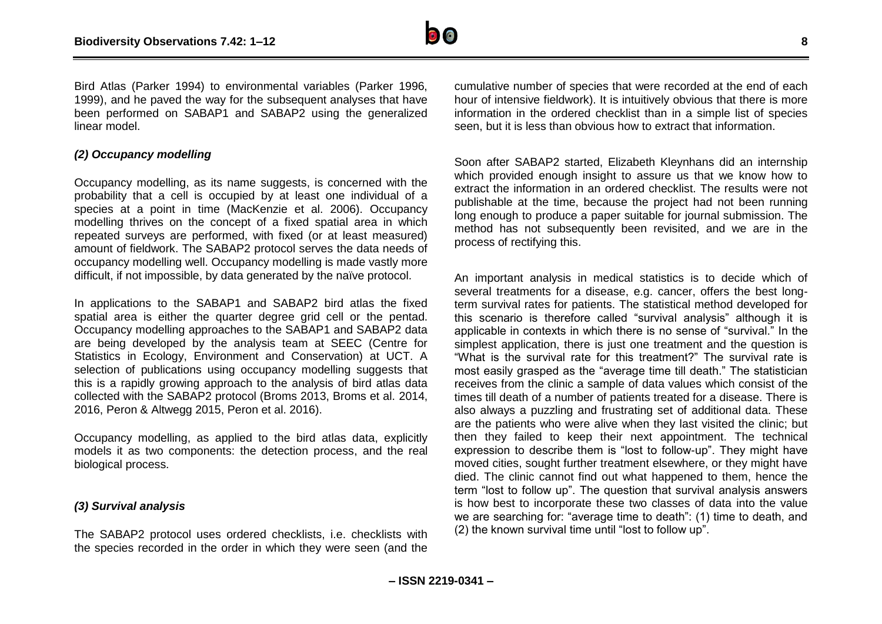

Bird Atlas (Parker 1994) to environmental variables (Parker 1996, 1999), and he paved the way for the subsequent analyses that have been performed on SABAP1 and SABAP2 using the generalized linear model.

#### *(2) Occupancy modelling*

Occupancy modelling, as its name suggests, is concerned with the probability that a cell is occupied by at least one individual of a species at a point in time (MacKenzie et al. 2006). Occupancy modelling thrives on the concept of a fixed spatial area in which repeated surveys are performed, with fixed (or at least measured) amount of fieldwork. The SABAP2 protocol serves the data needs of occupancy modelling well. Occupancy modelling is made vastly more difficult, if not impossible, by data generated by the naïve protocol.

In applications to the SABAP1 and SABAP2 bird atlas the fixed spatial area is either the quarter degree grid cell or the pentad. Occupancy modelling approaches to the SABAP1 and SABAP2 data are being developed by the analysis team at SEEC (Centre for Statistics in Ecology, Environment and Conservation) at UCT. A selection of publications using occupancy modelling suggests that this is a rapidly growing approach to the analysis of bird atlas data collected with the SABAP2 protocol (Broms 2013, Broms et al. 2014, 2016, Peron & Altwegg 2015, Peron et al. 2016).

Occupancy modelling, as applied to the bird atlas data, explicitly models it as two components: the detection process, and the real biological process.

#### *(3) Survival analysis*

The SABAP2 protocol uses ordered checklists, i.e. checklists with the species recorded in the order in which they were seen (and the cumulative number of species that were recorded at the end of each hour of intensive fieldwork). It is intuitively obvious that there is more information in the ordered checklist than in a simple list of species seen, but it is less than obvious how to extract that information.

Soon after SABAP2 started, Elizabeth Kleynhans did an internship which provided enough insight to assure us that we know how to extract the information in an ordered checklist. The results were not publishable at the time, because the project had not been running long enough to produce a paper suitable for journal submission. The method has not subsequently been revisited, and we are in the process of rectifying this.

An important analysis in medical statistics is to decide which of several treatments for a disease, e.g. cancer, offers the best longterm survival rates for patients. The statistical method developed for this scenario is therefore called "survival analysis" although it is applicable in contexts in which there is no sense of "survival." In the simplest application, there is just one treatment and the question is "What is the survival rate for this treatment?" The survival rate is most easily grasped as the "average time till death." The statistician receives from the clinic a sample of data values which consist of the times till death of a number of patients treated for a disease. There is also always a puzzling and frustrating set of additional data. These are the patients who were alive when they last visited the clinic; but then they failed to keep their next appointment. The technical expression to describe them is "lost to follow-up". They might have moved cities, sought further treatment elsewhere, or they might have died. The clinic cannot find out what happened to them, hence the term "lost to follow up". The question that survival analysis answers is how best to incorporate these two classes of data into the value we are searching for: "average time to death": (1) time to death, and (2) the known survival time until "lost to follow up".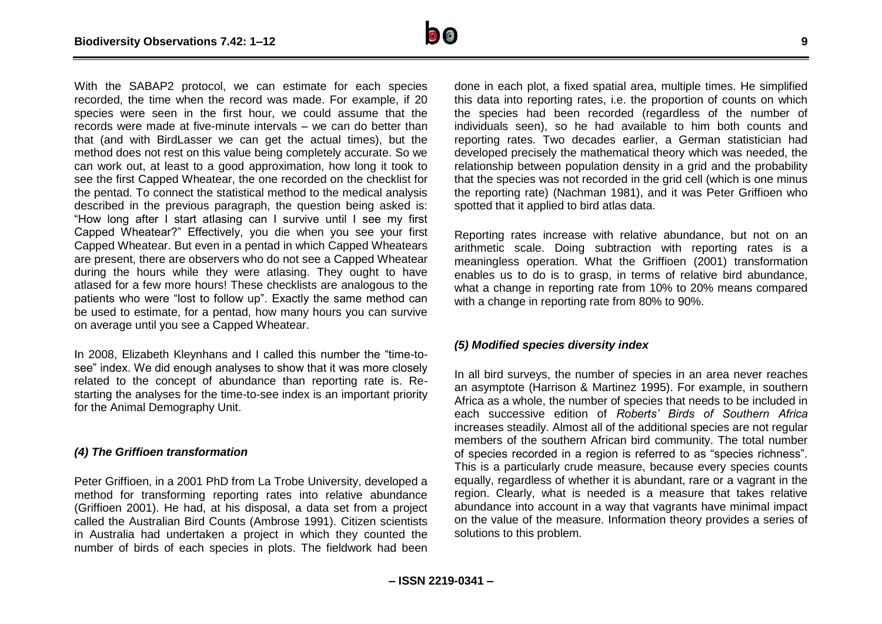

With the SABAP2 protocol, we can estimate for each species recorded, the time when the record was made. For example, if 20 species were seen in the first hour, we could assume that the records were made at five-minute intervals – we can do better than that (and with BirdLasser we can get the actual times), but the method does not rest on this value being completely accurate. So we can work out, at least to a good approximation, how long it took to see the first Capped Wheatear, the one recorded on the checklist for the pentad. To connect the statistical method to the medical analysis described in the previous paragraph, the question being asked is: "How long after I start atlasing can I survive until I see my first Capped Wheatear?" Effectively, you die when you see your first Capped Wheatear. But even in a pentad in which Capped Wheatears are present, there are observers who do not see a Capped Wheatear during the hours while they were atlasing. They ought to have atlased for a few more hours! These checklists are analogous to the patients who were "lost to follow up". Exactly the same method can be used to estimate, for a pentad, how many hours you can survive on average until you see a Capped Wheatear.

In 2008, Elizabeth Kleynhans and I called this number the "time-tosee" index. We did enough analyses to show that it was more closely related to the concept of abundance than reporting rate is. Restarting the analyses for the time-to-see index is an important priority for the Animal Demography Unit.

#### *(4) The Griffioen transformation*

Peter Griffioen, in a 2001 PhD from La Trobe University, developed a method for transforming reporting rates into relative abundance (Griffioen 2001). He had, at his disposal, a data set from a project called the Australian Bird Counts (Ambrose 1991). Citizen scientists in Australia had undertaken a project in which they counted the number of birds of each species in plots. The fieldwork had been

done in each plot, a fixed spatial area, multiple times. He simplified this data into reporting rates, i.e. the proportion of counts on which the species had been recorded (regardless of the number of individuals seen), so he had available to him both counts and reporting rates. Two decades earlier, a German statistician had developed precisely the mathematical theory which was needed, the relationship between population density in a grid and the probability that the species was not recorded in the grid cell (which is one minus the reporting rate) (Nachman 1981), and it was Peter Griffioen who spotted that it applied to bird atlas data.

Reporting rates increase with relative abundance, but not on an arithmetic scale. Doing subtraction with reporting rates is a meaningless operation. What the Griffioen (2001) transformation enables us to do is to grasp, in terms of relative bird abundance, what a change in reporting rate from 10% to 20% means compared with a change in reporting rate from 80% to 90%.

#### *(5) Modified species diversity index*

In all bird surveys, the number of species in an area never reaches an asymptote (Harrison & Martinez 1995). For example, in southern Africa as a whole, the number of species that needs to be included in each successive edition of *Roberts' Birds of Southern Africa* increases steadily. Almost all of the additional species are not regular members of the southern African bird community. The total number of species recorded in a region is referred to as "species richness". This is a particularly crude measure, because every species counts equally, regardless of whether it is abundant, rare or a vagrant in the region. Clearly, what is needed is a measure that takes relative abundance into account in a way that vagrants have minimal impact on the value of the measure. Information theory provides a series of solutions to this problem.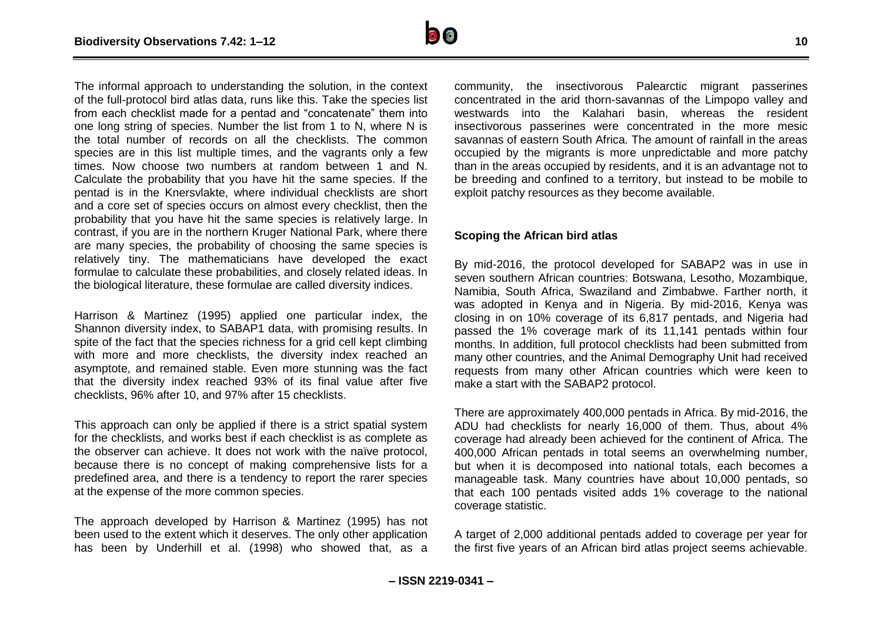

The informal approach to understanding the solution, in the context of the full-protocol bird atlas data, runs like this. Take the species list from each checklist made for a pentad and "concatenate" them into one long string of species. Number the list from 1 to N, where N is the total number of records on all the checklists. The common species are in this list multiple times, and the vagrants only a few times. Now choose two numbers at random between 1 and N. Calculate the probability that you have hit the same species. If the pentad is in the Knersvlakte, where individual checklists are short and a core set of species occurs on almost every checklist, then the probability that you have hit the same species is relatively large. In contrast, if you are in the northern Kruger National Park, where there are many species, the probability of choosing the same species is relatively tiny. The mathematicians have developed the exact formulae to calculate these probabilities, and closely related ideas. In the biological literature, these formulae are called diversity indices.

Harrison & Martinez (1995) applied one particular index, the Shannon diversity index, to SABAP1 data, with promising results. In spite of the fact that the species richness for a grid cell kept climbing with more and more checklists, the diversity index reached an asymptote, and remained stable. Even more stunning was the fact that the diversity index reached 93% of its final value after five checklists, 96% after 10, and 97% after 15 checklists.

This approach can only be applied if there is a strict spatial system for the checklists, and works best if each checklist is as complete as the observer can achieve. It does not work with the naïve protocol, because there is no concept of making comprehensive lists for a predefined area, and there is a tendency to report the rarer species at the expense of the more common species.

The approach developed by Harrison & Martinez (1995) has not been used to the extent which it deserves. The only other application has been by Underhill et al. (1998) who showed that, as a community, the insectivorous Palearctic migrant passerines concentrated in the arid thorn-savannas of the Limpopo valley and westwards into the Kalahari basin, whereas the resident insectivorous passerines were concentrated in the more mesic savannas of eastern South Africa. The amount of rainfall in the areas occupied by the migrants is more unpredictable and more patchy than in the areas occupied by residents, and it is an advantage not to be breeding and confined to a territory, but instead to be mobile to exploit patchy resources as they become available.

#### **Scoping the African bird atlas**

By mid-2016, the protocol developed for SABAP2 was in use in seven southern African countries: Botswana, Lesotho, Mozambique, Namibia, South Africa, Swaziland and Zimbabwe. Farther north, it was adopted in Kenya and in Nigeria. By mid-2016, Kenya was closing in on 10% coverage of its 6,817 pentads, and Nigeria had passed the 1% coverage mark of its 11,141 pentads within four months. In addition, full protocol checklists had been submitted from many other countries, and the Animal Demography Unit had received requests from many other African countries which were keen to make a start with the SABAP2 protocol.

There are approximately 400,000 pentads in Africa. By mid-2016, the ADU had checklists for nearly 16,000 of them. Thus, about 4% coverage had already been achieved for the continent of Africa. The 400,000 African pentads in total seems an overwhelming number, but when it is decomposed into national totals, each becomes a manageable task. Many countries have about 10,000 pentads, so that each 100 pentads visited adds 1% coverage to the national coverage statistic.

A target of 2,000 additional pentads added to coverage per year for the first five years of an African bird atlas project seems achievable.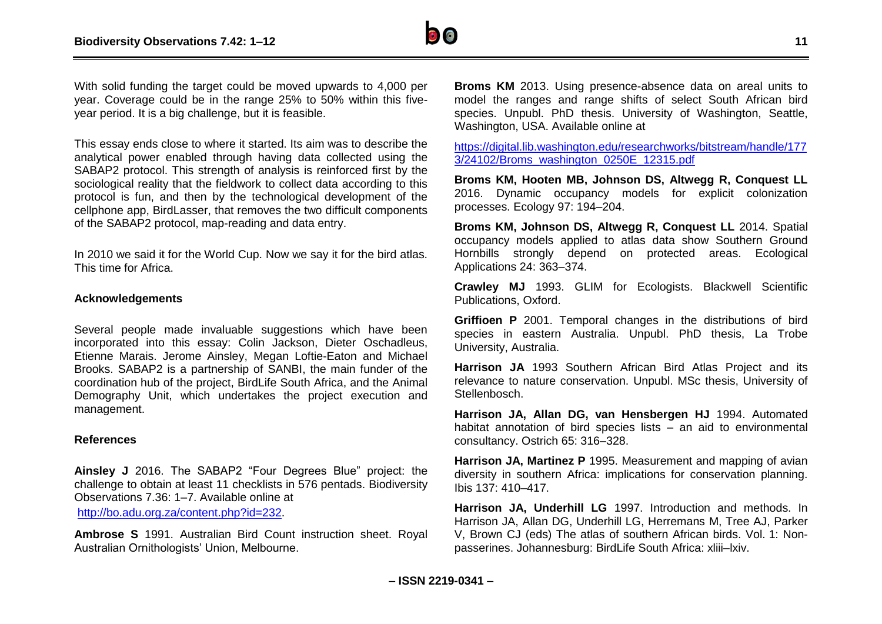

With solid funding the target could be moved upwards to 4,000 per year. Coverage could be in the range 25% to 50% within this fiveyear period. It is a big challenge, but it is feasible.

This essay ends close to where it started. Its aim was to describe the analytical power enabled through having data collected using the SABAP2 protocol. This strength of analysis is reinforced first by the sociological reality that the fieldwork to collect data according to this protocol is fun, and then by the technological development of the cellphone app, BirdLasser, that removes the two difficult components of the SABAP2 protocol, map-reading and data entry.

In 2010 we said it for the World Cup. Now we say it for the bird atlas. This time for Africa.

#### **Acknowledgements**

Several people made invaluable suggestions which have been incorporated into this essay: Colin Jackson, Dieter Oschadleus, Etienne Marais. Jerome Ainsley, Megan Loftie-Eaton and Michael Brooks. SABAP2 is a partnership of SANBI, the main funder of the coordination hub of the project, BirdLife South Africa, and the Animal Demography Unit, which undertakes the project execution and management.

#### **References**

**Ainsley J** 2016. The SABAP2 "Four Degrees Blue" project: the challenge to obtain at least 11 checklists in 576 pentads. Biodiversity Observations 7.36: 1–7. Available online at

[http://bo.adu.org.za/content.php?id=232.](http://bo.adu.org.za/content.php?id=232)

**Ambrose S** 1991. Australian Bird Count instruction sheet. Royal Australian Ornithologists' Union, Melbourne.

**Broms KM** 2013. Using presence-absence data on areal units to model the ranges and range shifts of select South African bird species. Unpubl. PhD thesis. University of Washington, Seattle, Washington, USA. Available online at

[https://digital.lib.washington.edu/researchworks/bitstream/handle/177](https://digital.lib.washington.edu/researchworks/bitstream/handle/1773/24102/Broms_washington_0250E_12315.pdf) [3/24102/Broms\\_washington\\_0250E\\_12315.pdf](https://digital.lib.washington.edu/researchworks/bitstream/handle/1773/24102/Broms_washington_0250E_12315.pdf)

**Broms KM, Hooten MB, Johnson DS, Altwegg R, Conquest LL** 2016. Dynamic occupancy models for explicit colonization processes. Ecology 97: 194–204.

**Broms KM, Johnson DS, Altwegg R, Conquest LL** 2014. Spatial occupancy models applied to atlas data show Southern Ground Hornbills strongly depend on protected areas. Ecological Applications 24: 363–374.

**Crawley MJ** 1993. GLIM for Ecologists. Blackwell Scientific Publications, Oxford.

**Griffioen P** 2001. Temporal changes in the distributions of bird species in eastern Australia. Unpubl. PhD thesis, La Trobe University, Australia.

**Harrison JA** 1993 Southern African Bird Atlas Project and its relevance to nature conservation. Unpubl. MSc thesis, University of Stellenbosch.

**Harrison JA, Allan DG, van Hensbergen HJ** 1994. Automated habitat annotation of bird species lists – an aid to environmental consultancy. Ostrich 65: 316–328.

**Harrison JA, Martinez P** 1995. Measurement and mapping of avian diversity in southern Africa: implications for conservation planning. Ibis 137: 410–417.

**Harrison JA, Underhill LG** 1997. Introduction and methods. In Harrison JA, Allan DG, Underhill LG, Herremans M, Tree AJ, Parker V, Brown CJ (eds) The atlas of southern African birds. Vol. 1: Nonpasserines. Johannesburg: BirdLife South Africa: xliii–lxiv.